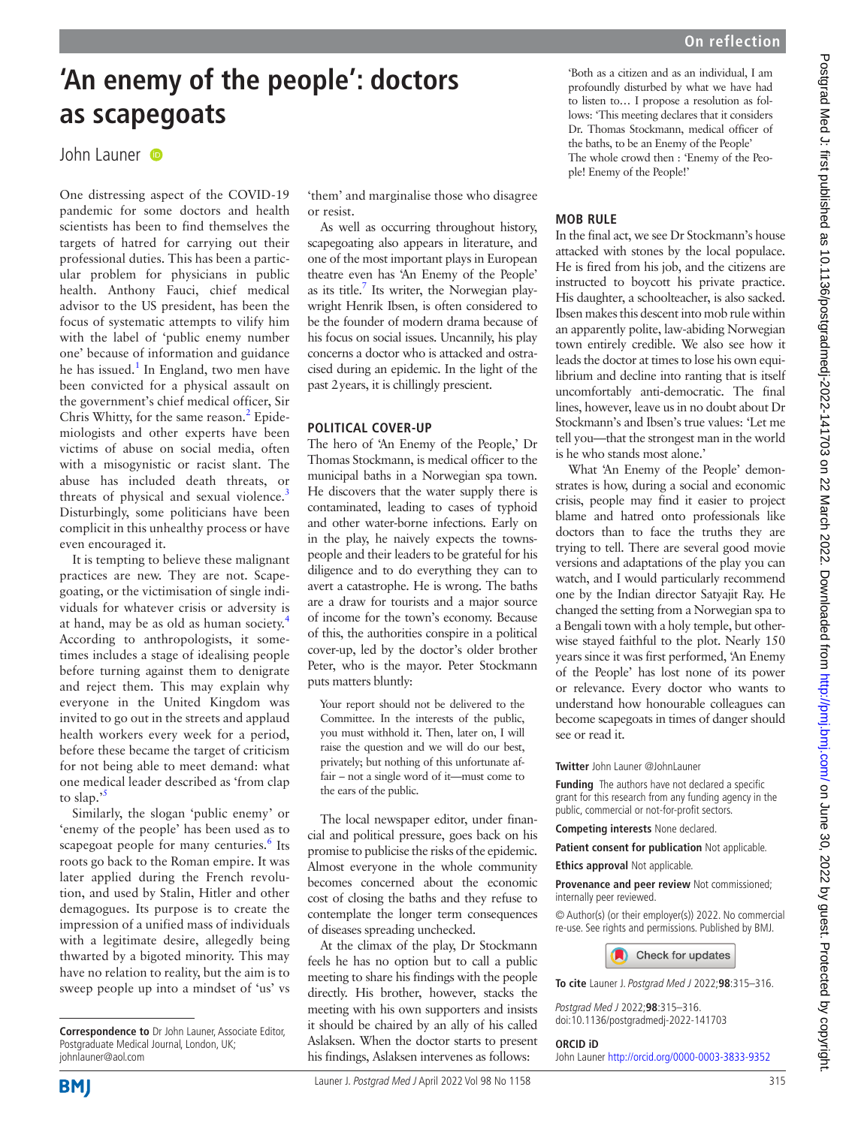# **'An enemy of the people': doctors as scapegoats**

## John Launer

One distressing aspect of the COVID-19 pandemic for some doctors and health scientists has been to find themselves the targets of hatred for carrying out their professional duties. This has been a particular problem for physicians in public health. Anthony Fauci, chief medical advisor to the US president, has been the focus of systematic attempts to vilify him with the label of 'public enemy number one' because of information and guidance he has issued.<sup>[1](#page-1-0)</sup> In England, two men have been convicted for a physical assault on the government's chief medical officer, Sir Chris Whitty, for the same reason.<sup>[2](#page-1-1)</sup> Epidemiologists and other experts have been victims of abuse on social media, often with a misogynistic or racist slant. The abuse has included death threats, or threats of physical and sexual violence.<sup>[3](#page-1-2)</sup> Disturbingly, some politicians have been complicit in this unhealthy process or have even encouraged it.

It is tempting to believe these malignant practices are new. They are not. Scapegoating, or the victimisation of single individuals for whatever crisis or adversity is at hand, may be as old as human society.[4](#page-1-3) According to anthropologists, it sometimes includes a stage of idealising people before turning against them to denigrate and reject them. This may explain why everyone in the United Kingdom was invited to go out in the streets and applaud health workers every week for a period, before these became the target of criticism for not being able to meet demand: what one medical leader described as 'from clap to slap.'<sup>[5](#page-1-4)</sup>

Similarly, the slogan 'public enemy' or 'enemy of the people' has been used as to scapegoat people for many centuries.<sup>6</sup> Its roots go back to the Roman empire. It was later applied during the French revolution, and used by Stalin, Hitler and other demagogues. Its purpose is to create the impression of a unified mass of individuals with a legitimate desire, allegedly being thwarted by a bigoted minority. This may have no relation to reality, but the aim is to sweep people up into a mindset of 'us' vs

'them' and marginalise those who disagree or resist.

As well as occurring throughout history, scapegoating also appears in literature, and one of the most important plays in European theatre even has 'An Enemy of the People' as its title. $\frac{7}{1}$  Its writer, the Norwegian playwright Henrik Ibsen, is often considered to be the founder of modern drama because of his focus on social issues. Uncannily, his play concerns a doctor who is attacked and ostracised during an epidemic. In the light of the past 2years, it is chillingly prescient.

## **POLITICAL COVER-UP**

The hero of 'An Enemy of the People,' Dr Thomas Stockmann, is medical officer to the municipal baths in a Norwegian spa town. He discovers that the water supply there is contaminated, leading to cases of typhoid and other water-borne infections. Early on in the play, he naively expects the townspeople and their leaders to be grateful for his diligence and to do everything they can to avert a catastrophe. He is wrong. The baths are a draw for tourists and a major source of income for the town's economy. Because of this, the authorities conspire in a political cover-up, led by the doctor's older brother Peter, who is the mayor. Peter Stockmann puts matters bluntly:

Your report should not be delivered to the Committee. In the interests of the public, you must withhold it. Then, later on, I will raise the question and we will do our best, privately; but nothing of this unfortunate affair – not a single word of it—must come to the ears of the public.

The local newspaper editor, under financial and political pressure, goes back on his promise to publicise the risks of the epidemic. Almost everyone in the whole community becomes concerned about the economic cost of closing the baths and they refuse to contemplate the longer term consequences of diseases spreading unchecked.

At the climax of the play, Dr Stockmann feels he has no option but to call a public meeting to share his findings with the people directly. His brother, however, stacks the meeting with his own supporters and insists it should be chaired by an ally of his called Aslaksen. When the doctor starts to present his findings, Aslaksen intervenes as follows:

'Both as a citizen and as an individual, I am profoundly disturbed by what we have had to listen to… I propose a resolution as follows: 'This meeting declares that it considers Dr. Thomas Stockmann, medical officer of the baths, to be an Enemy of the People' The whole crowd then : 'Enemy of the People! Enemy of the People!'

## **MOB RULE**

In the final act, we see Dr Stockmann's house attacked with stones by the local populace. He is fired from his job, and the citizens are instructed to boycott his private practice. His daughter, a schoolteacher, is also sacked. Ibsen makes this descent into mob rule within an apparently polite, law-abiding Norwegian town entirely credible. We also see how it leads the doctor at times to lose his own equilibrium and decline into ranting that is itself uncomfortably anti-democratic. The final lines, however, leave us in no doubt about Dr Stockmann's and Ibsen's true values: 'Let me tell you—that the strongest man in the world is he who stands most alone.'

What 'An Enemy of the People' demonstrates is how, during a social and economic crisis, people may find it easier to project blame and hatred onto professionals like doctors than to face the truths they are trying to tell. There are several good movie versions and adaptations of the play you can watch, and I would particularly recommend one by the Indian director Satyajit Ray. He changed the setting from a Norwegian spa to a Bengali town with a holy temple, but otherwise stayed faithful to the plot. Nearly 150 years since it was first performed, 'An Enemy of the People' has lost none of its power or relevance. Every doctor who wants to understand how honourable colleagues can become scapegoats in times of danger should see or read it.

#### **Twitter** John Launer [@JohnLauner](https://twitter.com/JohnLauner)

**Funding** The authors have not declared a specific grant for this research from any funding agency in the public, commercial or not-for-profit sectors.

**Competing interests** None declared.

**Patient consent for publication** Not applicable.

**Ethics approval** Not applicable.

**Provenance and peer review** Not commissioned; internally peer reviewed.

© Author(s) (or their employer(s)) 2022. No commercial re-use. See rights and permissions. Published by BMJ.



**To cite** Launer J. Postgrad Med J 2022;**98**:315–316.

Postgrad Med J 2022;**98**:315–316. doi:10.1136/postgradmedj-2022-141703

#### **ORCID iD**

John Launer<http://orcid.org/0000-0003-3833-9352>

Postgrad Med J: first published as 10.1136/postgradmedj-2022-141703 on 22 March 2022. Downloaded from http://pmj.com/ on June 30, 2022 by guest. Protected by copyright Postgrad Med J: first published as 10.1136/postgradmedj-2022-141703 on 22 March 2022. Downloaded from bmj.com/ on June 30, 2022 by guest. Protected by copyright.



**Correspondence to** Dr John Launer, Associate Editor, Postgraduate Medical Journal, London, UK; johnlauner@aol.com